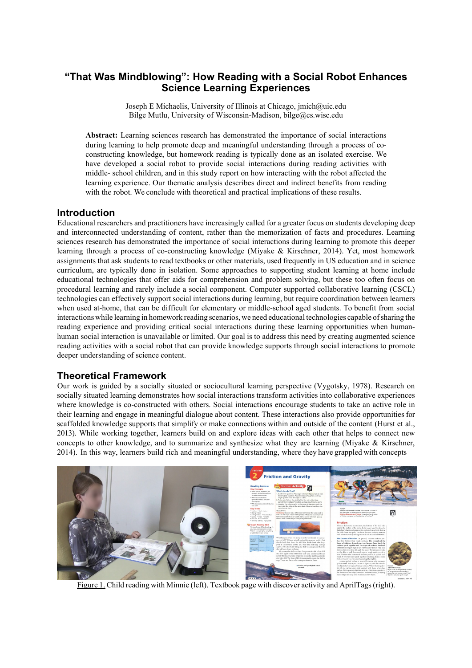# **"That Was Mindblowing": How Reading with a Social Robot Enhances Science Learning Experiences**

Joseph E Michaelis, University of Illinois at Chicago, jmich@uic.edu Bilge Mutlu, University of Wisconsin-Madison, bilge@cs.wisc.edu

**Abstract:** Learning sciences research has demonstrated the importance of social interactions during learning to help promote deep and meaningful understanding through a process of coconstructing knowledge, but homework reading is typically done as an isolated exercise. We have developed a social robot to provide social interactions during reading activities with middle- school children, and in this study report on how interacting with the robot affected the learning experience. Our thematic analysis describes direct and indirect benefits from reading with the robot. We conclude with theoretical and practical implications of these results.

# **Introduction**

Educational researchers and practitioners have increasingly called for a greater focus on students developing deep and interconnected understanding of content, rather than the memorization of facts and procedures. Learning sciences research has demonstrated the importance of social interactions during learning to promote this deeper learning through a process of co-constructing knowledge (Miyake & Kirschner, [2014\).](#page-7-0) Yet, most homework assignments that ask students to read textbooks or other materials, used frequently in US education and in science curriculum, are typically done in isolation. Some approaches to supporting student learning at home include educational technologies that offer aids for comprehension and problem solving, but these too often focus on procedural learning and rarely include a social component. Computer supported collaborative learning (CSCL) technologies can effectively support social interactions during learning, but require coordination between learners when used at-home, that can be difficult for elementary or middle-school aged students. To benefit from social interactions while learning in homework reading scenarios, we need educational technologies capable ofsharing the reading experience and providing critical social interactions during these learning opportunities when humanhuman social interaction is unavailable or limited. Our goal is to address this need by creating augmented science reading activities with a social robot that can provide knowledge supports through social interactions to promote deeper understanding of science content.

# **Theoretical Framework**

Our work is guided by a socially situated or sociocultural learning perspective (Vygotsky, [1978\).](#page-7-1) Research on socially situated learning demonstrates how social interactions transform activities into collaborative experiences where knowledge is co-constructed with others. Social interactions encourage students to take an active role in their learning and engage in meaningful dialogue about content. These interactions also provide opportunities for scaffolded knowledge supports that simplify or make connections within and outside of the content (Hurst et al., 2013). While working together, learners build on and explore ideas with each other that helps to connect new concepts to other knowledge, and to summarize and synthesize what they are learning (Miyake & Kirschner, [2014\).](#page-7-0) In this way, learners build rich and meaningful understanding, where they have grappled with concepts

<span id="page-0-0"></span>

Figure 1. Child reading with Minnie (left). Textbook page with discover activity and AprilTags(right).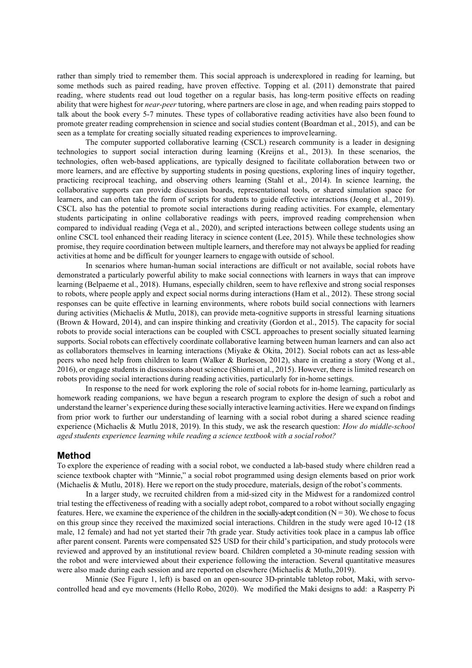rather than simply tried to remember them. This social approach is underexplored in reading for learning, but some methods such as paired reading, have proven effective. Topping et al. [\(2011\)](#page-7-2) demonstrate that paired reading, where students read out loud together on a regular basis, has long-term positive effects on reading ability that were highest for *near-peer* tutoring, where partners are close in age, and when reading pairs stopped to talk about the book every 5-7 minutes. These types of collaborative reading activities have also been found to promote greater reading comprehension in science and social studies content (Boardman et al., [2015\),](#page-7-3) and can be seen as a template for creating socially situated reading experiences to improvelearning.

The computer supported collaborative learning (CSCL) research community is a leader in designing technologies to support social interaction during learning (Kreijns et al., [2013\).](#page-7-4) In these scenarios, the technologies, often web-based applications, are typically designed to facilitate collaboration between two or more learners, and are effective by supporting students in posing questions, exploring lines of inquiry together, practicing reciprocal teaching, and observing others learning (Stahl et al., [2014\).](#page-7-5) In science learning, the collaborative supports can provide discussion boards, representational tools, or shared simulation space for learners, and can often take the form of scripts for students to guide effective interactions (Jeong et al., [2019\).](#page-7-6) CSCL also has the potential to promote social interactions during reading activities. For example, elementary students participating in online collaborative readings with peers, improved reading comprehension when compared to individual reading (Vega et al., [2020\),](#page-7-7) and scripted interactions between college students using an online CSCL tool enhanced their reading literacy in science content (Lee, [2015\).](#page-7-8) While these technologies show promise, they require coordination between multiple learners, and therefore may not always be applied for reading activities at home and be difficult for younger learners to engagewith outside of school.

In scenarios where human-human social interactions are difficult or not available, social robots have demonstrated a particularly powerful ability to make social connections with learners in ways that can improve learning (Belpaeme et al., [2018\).](#page-7-9) Humans, especially children, seem to have reflexive and strong social responses to robots, where people apply and expect social norms during interactions (Ham et al., 2012). These strong social responses can be quite effective in learning environments, where robots build social connections with learners during activities (Michaelis & Mutlu[, 2018\), c](#page-7-10)an provide meta-cognitive supports in stressful learning situations (Brown & Howard, [2014\),](#page-7-11) and can inspire thinking and creativity (Gordon et al., [2015\).](#page-7-12) The capacity for social robots to provide social interactions can be coupled with CSCL approaches to present socially situated learning supports. Social robots can effectively coordinate collaborative learning between human learners and can also act as collaborators themselves in learning interactions (Miyake & Okita, [2012\).](#page-7-13) Social robots can act as less-able peers who need help from children to learn (Walker & Burleson, [2012\),](#page-7-14) share in creating a story (Wong et al., [2016\),](#page-7-15) or engage students in discussions about science (Shiomi et al., 2015). However, there is limited research on robots providing social interactions during reading activities, particularly for in-home settings.

In response to the need for work exploring the role of social robots for in-home learning, particularly as homework reading companions, we have begun a research program to explore the design of such a robot and understand the learner's experience during these socially interactive learning activities. Here we expand on findings from prior work to further our understanding of learning with a social robot during a shared science reading experience (Michaelis & Mutlu 2018, 2019). In this study, we ask the research question: *How do middle-school aged students experience learning while reading a science textbook with a socialrobot?*

### **Method**

To explore the experience of reading with a social robot, we conducted a lab-based study where children read a science textbook chapter with "Minnie," a social robot programmed using design elements based on prior work (Michaelis & Mutlu, 2018). Here we report on the study procedure, materials, design of the robot's comments.

In a larger study, we recruited children from a mid-sized city in the Midwest for a randomized control trial testing the effectiveness of reading with a socially adept robot, compared to a robot without socially engaging features. Here, we examine the experience of the children in the socially-adept condition ( $N = 30$ ). We chose to focus on this group since they received the maximized social interactions. Children in the study were aged 10-12 (18 male, 12 female) and had not yet started their 7th grade year. Study activities took place in a campus lab office after parent consent. Parents were compensated \$25 USD for their child's participation, and study protocols were reviewed and approved by an institutional review board. Children completed a 30-minute reading session with the robot and were interviewed about their experience following the interaction. Several quantitative measures were also made during each session and are reported on elsewhere (Michaelis & Mutlu, 2019).

Minnie (See Figure [1, l](#page-0-0)eft) is based on an open-source 3D-printable tabletop robot, Maki, with servocontrolled head and eye movements (Hello Robo, [2020\).](#page-7-16) We modified the Maki designs to add: a Rasperry Pi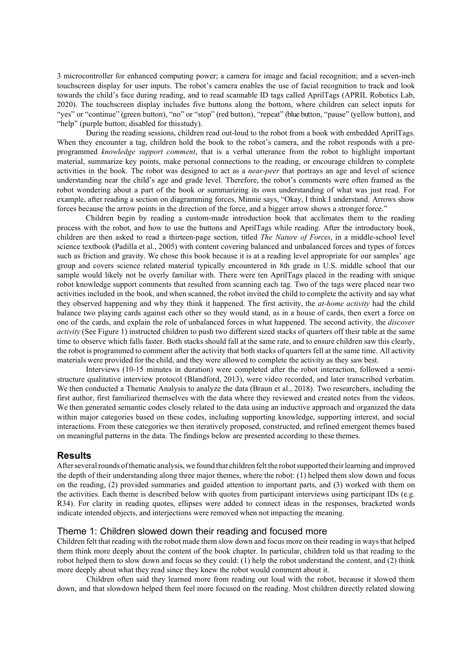3 microcontroller for enhanced computing power; a camera for image and facial recognition; and a seven-inch touchscreen display for user inputs. The robot's camera enables the use of facial recognition to track and look towards the child's face during reading, and to read scannable ID tags called AprilTags (APRIL Robotics Lab, [2020\). T](#page-7-9)he touchscreen display includes five buttons along the bottom, where children can select inputs for "yes" or "continue" (green button), "no" or "stop" (red button), "repeat" (blue button, "pause" (yellow button), and "help" (purple button; disabled for thisstudy).

During the reading sessions, children read out-loud to the robot from a book with embedded AprilTags. When they encounter a tag, children hold the book to the robot's camera, and the robot responds with a preprogrammed *knowledge support comment*, that is a verbal utterance from the robot to highlight important material, summarize key points, make personal connections to the reading, or encourage children to complete activities in the book. The robot was designed to act as a *near-peer* that portrays an age and level of science understanding near the child's age and grade level. Therefore, the robot's comments were often framed as the robot wondering about a part of the book or summarizing its own understanding of what was just read. For example, after reading a section on diagramming forces, Minnie says, "Okay, I think I understand. Arrows show forces because the arrow points in the direction of the force, and a bigger arrow shows a stronger force."

Children begin by reading a custom-made introduction book that acclimates them to the reading process with the robot, and how to use the buttons and AprilTags while reading. After the introductory book, children are then asked to read a thirteen-page section, titled *The Nature of Forces*, in a middle-school level science textbook (Padilla et al., [2005\) w](#page-7-17)ith content covering balanced and unbalanced forces and types of forces such as friction and gravity. We chose this book because it is at a reading level appropriate for our samples' age group and covers science related material typically encountered in 8th grade in U.S. middle school that our sample would likely not be overly familiar with. There were ten AprilTags placed in the reading with unique robot knowledge support comments that resulted from scanning each tag. Two of the tags were placed near two activities included in the book, and when scanned, the robot invited the child to complete the activity and say what they observed happening and why they think it happened. The first activity, the *at-home activity* had the child balance two playing cards against each other so they would stand, as in a house of cards, then exert a force on one of the cards, and explain the role of unbalanced forces in what happened. The second activity, the *discover activity* (See Figure [1\)](#page-0-0) instructed children to push two different sized stacks of quarters off their table at the same time to observe which falls faster. Both stacks should fall at the same rate, and to ensure children saw this clearly, the robot is programmed to comment after the activity that both stacks of quarters fell at the same time. All activity materials were provided for the child, and they were allowed to complete the activity as they saw best.

Interviews (10-15 minutes in duration) were completed after the robot interaction, followed a semistructure qualitative interview protocol (Blandford, [2013\),](#page-7-18) were video recorded, and later transcribed verbatim. We then conducted a Thematic Analysis to analyze the data (Braun et al., [2018\).](#page-7-19) Two researchers, including the first author, first familiarized themselves with the data where they reviewed and created notes from the videos. We then generated semantic codes closely related to the data using an inductive approach and organized the data within major categories based on these codes, including supporting knowledge, supporting interest, and social interactions. From these categories we then iteratively proposed, constructed, and refined emergent themes based on meaningful patterns in the data. The findings below are presented according to these themes.

#### **Results**

After several rounds of thematic analysis, we found that children felt the robot supported their learning and improved the depth of their understanding along three major themes, where the robot: (1) helped them slow down and focus on the reading, (2) provided summaries and guided attention to important parts, and (3) worked with them on the activities. Each theme is described below with quotes from participant interviews using participant IDs (e.g. R34). For clarity in reading quotes, ellipses were added to connect ideas in the responses, bracketed words indicate intended objects, and interjections were removed when not impacting the meaning.

### Theme 1: Children slowed down their reading and focused more

Children felt that reading with the robot made them slow down and focus more on their reading in waysthat helped them think more deeply about the content of the book chapter. In particular, children told us that reading to the robot helped them to slow down and focus so they could: (1) help the robot understand the content, and (2) think more deeply about what they read since they knew the robot would comment about it.

Children often said they learned more from reading out loud with the robot, because it slowed them down, and that slowdown helped them feel more focused on the reading. Most children directly related slowing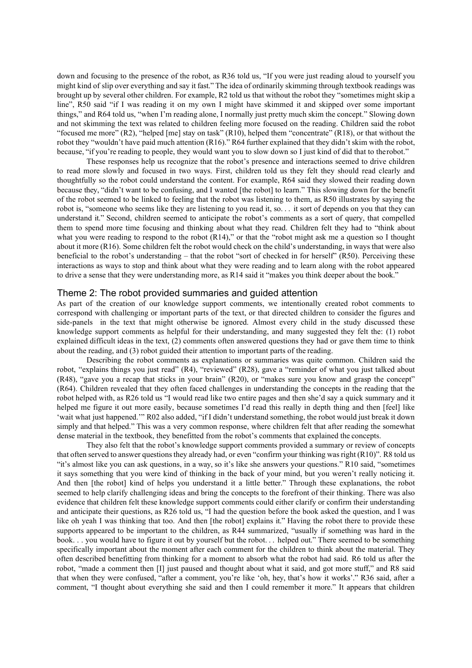down and focusing to the presence of the robot, as R36 told us, "If you were just reading aloud to yourself you might kind of slip over everything and say it fast." The idea of ordinarily skimming through textbook readings was brought up by several other children. For example, R2 told us that without the robot they "sometimes might skip a line", R50 said "if I was reading it on my own I might have skimmed it and skipped over some important things," and R64 told us, "when I'm reading alone, I normally just pretty much skim the concept." Slowing down and not skimming the text was related to children feeling more focused on the reading. Children said the robot "focused me more" (R2), "helped [me] stay on task" (R10), helped them "concentrate" (R18), or that without the robot they "wouldn't have paid much attention (R16)." R64 further explained that they didn't skim with the robot, because, "if you're reading to people, they would want you to slow down so I just kind of did that to therobot."

These responses help us recognize that the robot's presence and interactions seemed to drive children to read more slowly and focused in two ways. First, children told us they felt they should read clearly and thoughtfully so the robot could understand the content. For example, R64 said they slowed their reading down because they, "didn't want to be confusing, and I wanted [the robot] to learn." This slowing down for the benefit of the robot seemed to be linked to feeling that the robot was listening to them, as R50 illustrates by saying the robot is, "someone who seems like they are listening to you read it, so. . . it sort of depends on you that they can understand it." Second, children seemed to anticipate the robot's comments as a sort of query, that compelled them to spend more time focusing and thinking about what they read. Children felt they had to "think about what you were reading to respond to the robot (R14)," or that the "robot might ask me a question so I thought about it more (R16). Some children felt the robot would check on the child's understanding, in ways that were also beneficial to the robot's understanding – that the robot "sort of checked in for herself" (R50). Perceiving these interactions as ways to stop and think about what they were reading and to learn along with the robot appeared to drive a sense that they were understanding more, as R14 said it "makes you think deeper about the book."

### Theme 2: The robot provided summaries and guided attention

As part of the creation of our knowledge support comments, we intentionally created robot comments to correspond with challenging or important parts of the text, or that directed children to consider the figures and side-panels in the text that might otherwise be ignored. Almost every child in the study discussed these knowledge support comments as helpful for their understanding, and many suggested they felt the: (1) robot explained difficult ideas in the text, (2) comments often answered questions they had or gave them time to think about the reading, and (3) robot guided their attention to important parts of the reading.

Describing the robot comments as explanations or summaries was quite common. Children said the robot, "explains things you just read" (R4), "reviewed" (R28), gave a "reminder of what you just talked about (R48), "gave you a recap that sticks in your brain" (R20), or "makes sure you know and grasp the concept" (R64). Children revealed that they often faced challenges in understanding the concepts in the reading that the robot helped with, as R26 told us "I would read like two entire pages and then she'd say a quick summary and it helped me figure it out more easily, because sometimes I'd read this really in depth thing and then [feel] like 'wait what just happened.'" R02 also added, "if I didn't understand something, the robot would just break it down simply and that helped." This was a very common response, where children felt that after reading the somewhat dense material in the textbook, they benefitted from the robot's comments that explained the concepts.

They also felt that the robot's knowledge support comments provided a summary or review of concepts that often served to answer questionsthey already had, or even "confirm your thinking wasright (R10)". R8 told us "it's almost like you can ask questions, in a way, so it's like she answers your questions." R10 said, "sometimes it says something that you were kind of thinking in the back of your mind, but you weren't really noticing it. And then [the robot] kind of helps you understand it a little better." Through these explanations, the robot seemed to help clarify challenging ideas and bring the concepts to the forefront of their thinking. There was also evidence that children felt these knowledge support comments could either clarify or confirm their understanding and anticipate their questions, as R26 told us, "I had the question before the book asked the question, and I was like oh yeah I was thinking that too. And then [the robot] explains it." Having the robot there to provide these supports appeared to be important to the children, as R44 summarized, "usually if something was hard in the book. . . you would have to figure it out by yourself but the robot. . . helped out." There seemed to be something specifically important about the moment after each comment for the children to think about the material. They often described benefitting from thinking for a moment to absorb what the robot had said. R6 told us after the robot, "made a comment then [I] just paused and thought about what it said, and got more stuff," and R8 said that when they were confused, "after a comment, you're like 'oh, hey, that's how it works'." R36 said, after a comment, "I thought about everything she said and then I could remember it more." It appears that children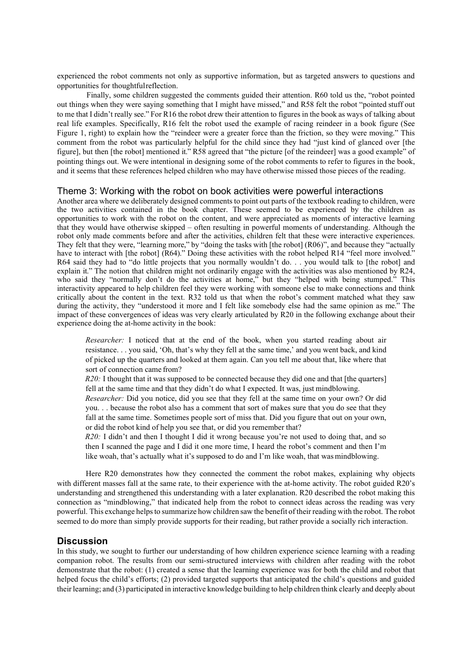experienced the robot comments not only as supportive information, but as targeted answers to questions and opportunities for thoughtfulreflection.

Finally, some children suggested the comments guided their attention. R60 told us the, "robot pointed out things when they were saying something that I might have missed," and R58 felt the robot "pointed stuff out to me that I didn't really see." For R16 the robot drew their attention to figures in the book as ways of talking about real life examples. Specifically, R16 felt the robot used the example of racing reindeer in a book figure (See Figure [1,](#page-0-0) right) to explain how the "reindeer were a greater force than the friction, so they were moving." This comment from the robot was particularly helpful for the child since they had "just kind of glanced over [the figure], but then [the robot] mentioned it." R58 agreed that "the picture [of the reindeer] was a good example" of pointing things out. We were intentional in designing some of the robot comments to refer to figures in the book, and it seems that these references helped children who may have otherwise missed those pieces of the reading.

# Theme 3: Working with the robot on book activities were powerful interactions

Another area where we deliberately designed comments to point out parts of the textbook reading to children, were the two activities contained in the book chapter. These seemed to be experienced by the children as opportunities to work with the robot on the content, and were appreciated as moments of interactive learning that they would have otherwise skipped – often resulting in powerful moments of understanding. Although the robot only made comments before and after the activities, children felt that these were interactive experiences. They felt that they were, "learning more," by "doing the tasks with [the robot] (R06)", and because they "actually have to interact with [the robot] (R64)." Doing these activities with the robot helped R14 "feel more involved." R64 said they had to "do little projects that you normally wouldn't do. . . you would talk to [the robot] and explain it." The notion that children might not ordinarily engage with the activities was also mentioned by R24, who said they "normally don't do the activities at home," but they "helped with being stumped." This interactivity appeared to help children feel they were working with someone else to make connections and think critically about the content in the text. R32 told us that when the robot's comment matched what they saw during the activity, they "understood it more and I felt like somebody else had the same opinion as me." The impact of these convergences of ideas was very clearly articulated by R20 in the following exchange about their experience doing the at-home activity in the book:

*Researcher:* I noticed that at the end of the book, when you started reading about air resistance. . . you said, 'Oh, that's why they fell at the same time,' and you went back, and kind of picked up the quarters and looked at them again. Can you tell me about that, like where that sort of connection came from?

*R20:* I thought that it was supposed to be connected because they did one and that [the quarters] fell at the same time and that they didn't do what I expected. It was, just mindblowing.

*Researcher:* Did you notice, did you see that they fell at the same time on your own? Or did you. . . because the robot also has a comment that sort of makes sure that you do see that they fall at the same time. Sometimes people sort of miss that. Did you figure that out on your own, or did the robot kind of help you see that, or did you remember that?

*R20:* I didn't and then I thought I did it wrong because you're not used to doing that, and so then I scanned the page and I did it one more time, I heard the robot's comment and then I'm like woah, that's actually what it's supposed to do and I'm like woah, that was mindblowing.

Here R20 demonstrates how they connected the comment the robot makes, explaining why objects with different masses fall at the same rate, to their experience with the at-home activity. The robot guided R20's understanding and strengthened this understanding with a later explanation. R20 described the robot making this connection as "mindblowing," that indicated help from the robot to connect ideas across the reading was very powerful. This exchange helpsto summarize how children saw the benefit of their reading with the robot. The robot seemed to do more than simply provide supports for their reading, but rather provide a socially rich interaction.

### **Discussion**

In this study, we sought to further our understanding of how children experience science learning with a reading companion robot. The results from our semi-structured interviews with children after reading with the robot demonstrate that the robot: (1) created a sense that the learning experience was for both the child and robot that helped focus the child's efforts; (2) provided targeted supports that anticipated the child's questions and guided their learning; and (3) participated in interactive knowledge building to help children think clearly and deeply about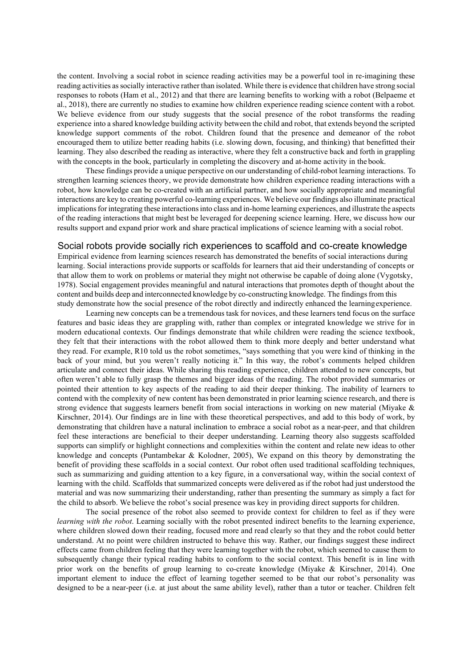the content. Involving a social robot in science reading activities may be a powerful tool in re-imagining these reading activities associally interactive rather than isolated. While there is evidence that children have strong social responses to robots (Ham et al., 2012) and that there are learning benefits to working with a robot (Belpaeme et al.[, 2018\),](#page-7-9) there are currently no studies to examine how children experience reading science content with a robot. We believe evidence from our study suggests that the social presence of the robot transforms the reading experience into a shared knowledge building activity between the child and robot, that extends beyond the scripted knowledge support comments of the robot. Children found that the presence and demeanor of the robot encouraged them to utilize better reading habits (i.e. slowing down, focusing, and thinking) that benefitted their learning. They also described the reading as interactive, where they felt a constructive back and forth in grappling with the concepts in the book, particularly in completing the discovery and at-home activity in the book.

These findings provide a unique perspective on our understanding of child-robot learning interactions. To strengthen learning sciences theory, we provide demonstrate how children experience reading interactions with a robot, how knowledge can be co-created with an artificial partner, and how socially appropriate and meaningful interactions are key to creating powerful co-learning experiences. We believe our findings also illuminate practical implications for integrating these interactions into class and in-home learning experiences, and illustrate the aspects of the reading interactions that might best be leveraged for deepening science learning. Here, we discuss how our results support and expand prior work and share practical implications of science learning with a social robot.

#### Social robots provide socially rich experiences to scaffold and co-create knowledge

Empirical evidence from learning sciences research has demonstrated the benefits of social interactions during learning. Social interactions provide supports or scaffolds for learners that aid their understanding of concepts or that allow them to work on problems or material they might not otherwise be capable of doing alone (Vygotsky, [1978\). S](#page-7-1)ocial engagement provides meaningful and natural interactions that promotes depth of thought about the content and builds deep and interconnected knowledge by co-constructing knowledge. The findingsfrom this study demonstrate how the social presence of the robot directly and indirectly enhanced the learningexperience.

Learning new concepts can be a tremendous task for novices, and these learners tend focus on the surface features and basic ideas they are grappling with, rather than complex or integrated knowledge we strive for in modern educational contexts. Our findings demonstrate that while children were reading the science textbook, they felt that their interactions with the robot allowed them to think more deeply and better understand what they read. For example, R10 told us the robot sometimes, "says something that you were kind of thinking in the back of your mind, but you weren't really noticing it." In this way, the robot's comments helped children articulate and connect their ideas. While sharing this reading experience, children attended to new concepts, but often weren't able to fully grasp the themes and bigger ideas of the reading. The robot provided summaries or pointed their attention to key aspects of the reading to aid their deeper thinking. The inability of learners to contend with the complexity of new content has been demonstrated in prior learning science research, and there is strong evidence that suggests learners benefit from social interactions in working on new material (Miyake & Kirschner, [2014\). O](#page-7-0)ur findings are in line with these theoretical perspectives, and add to this body of work, by demonstrating that children have a natural inclination to embrace a social robot as a near-peer, and that children feel these interactions are beneficial to their deeper understanding. Learning theory also suggests scaffolded supports can simplify or highlight connections and complexities within the content and relate new ideas to other knowledge and concepts (Puntambekar & Kolodner, [2005\),](#page-7-20) We expand on this theory by demonstrating the benefit of providing these scaffolds in a social context. Our robot often used traditional scaffolding techniques, such as summarizing and guiding attention to a key figure, in a conversational way, within the social context of learning with the child. Scaffolds that summarized concepts were delivered as if the robot had just understood the material and was now summarizing their understanding, rather than presenting the summary as simply a fact for the child to absorb. We believe the robot's social presence was key in providing direct supports for children.

The social presence of the robot also seemed to provide context for children to feel as if they were *learning with the robot*. Learning socially with the robot presented indirect benefits to the learning experience, where children slowed down their reading, focused more and read clearly so that they and the robot could better understand. At no point were children instructed to behave this way. Rather, our findings suggest these indirect effects came from children feeling that they were learning together with the robot, which seemed to cause them to subsequently change their typical reading habits to conform to the social context. This benefit is in line with prior work on the benefits of group learning to co-create knowledge (Miyake & Kirschner, [2014\). O](#page-7-0)ne important element to induce the effect of learning together seemed to be that our robot's personality was designed to be a near-peer (i.e. at just about the same ability level), rather than a tutor or teacher. Children felt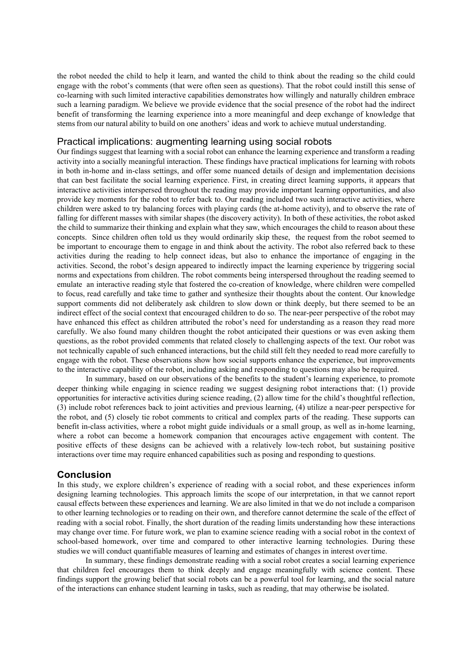the robot needed the child to help it learn, and wanted the child to think about the reading so the child could engage with the robot's comments (that were often seen as questions). That the robot could instill this sense of co-learning with such limited interactive capabilities demonstrates how willingly and naturally children embrace such a learning paradigm. We believe we provide evidence that the social presence of the robot had the indirect benefit of transforming the learning experience into a more meaningful and deep exchange of knowledge that stems from our natural ability to build on one anothers' ideas and work to achieve mutual understanding.

### Practical implications: augmenting learning using social robots

Our findings suggest that learning with a social robot can enhance the learning experience and transform a reading activity into a socially meaningful interaction. These findings have practical implications for learning with robots in both in-home and in-class settings, and offer some nuanced details of design and implementation decisions that can best facilitate the social learning experience. First, in creating direct learning supports, it appears that interactive activities interspersed throughout the reading may provide important learning opportunities, and also provide key moments for the robot to refer back to. Our reading included two such interactive activities, where children were asked to try balancing forces with playing cards (the at-home activity), and to observe the rate of falling for different masses with similar shapes (the discovery activity). In both of these activities, the robot asked the child to summarize their thinking and explain what they saw, which encourages the child to reason about these concepts. Since children often told us they would ordinarily skip these, the request from the robot seemed to be important to encourage them to engage in and think about the activity. The robot also referred back to these activities during the reading to help connect ideas, but also to enhance the importance of engaging in the activities. Second, the robot's design appeared to indirectly impact the learning experience by triggering social norms and expectations from children. The robot comments being interspersed throughout the reading seemed to emulate an interactive reading style that fostered the co-creation of knowledge, where children were compelled to focus, read carefully and take time to gather and synthesize their thoughts about the content. Our knowledge support comments did not deliberately ask children to slow down or think deeply, but there seemed to be an indirect effect of the social context that encouraged children to do so. The near-peer perspective of the robot may have enhanced this effect as children attributed the robot's need for understanding as a reason they read more carefully. We also found many children thought the robot anticipated their questions or was even asking them questions, as the robot provided comments that related closely to challenging aspects of the text. Our robot was not technically capable of such enhanced interactions, but the child still felt they needed to read more carefully to engage with the robot. These observations show how social supports enhance the experience, but improvements to the interactive capability of the robot, including asking and responding to questions may also be required.

In summary, based on our observations of the benefits to the student's learning experience, to promote deeper thinking while engaging in science reading we suggest designing robot interactions that: (1) provide opportunities for interactive activities during science reading, (2) allow time for the child's thoughtful reflection, (3) include robot references back to joint activities and previous learning, (4) utilize a near-peer perspective for the robot, and (5) closely tie robot comments to critical and complex parts of the reading. These supports can benefit in-class activities, where a robot might guide individuals or a small group, as well as in-home learning, where a robot can become a homework companion that encourages active engagement with content. The positive effects of these designs can be achieved with a relatively low-tech robot, but sustaining positive interactions over time may require enhanced capabilities such as posing and responding to questions.

### **Conclusion**

In this study, we explore children's experience of reading with a social robot, and these experiences inform designing learning technologies. This approach limits the scope of our interpretation, in that we cannot report causal effects between these experiences and learning. We are also limited in that we do not include a comparison to other learning technologies or to reading on their own, and therefore cannot determine the scale of the effect of reading with a social robot. Finally, the short duration of the reading limits understanding how these interactions may change over time. For future work, we plan to examine science reading with a social robot in the context of school-based homework, over time and compared to other interactive learning technologies. During these studies we will conduct quantifiable measures of learning and estimates of changes in interest overtime.

In summary, these findings demonstrate reading with a social robot creates a social learning experience that children feel encourages them to think deeply and engage meaningfully with science content. These findings support the growing belief that social robots can be a powerful tool for learning, and the social nature of the interactions can enhance student learning in tasks, such as reading, that may otherwise be isolated.